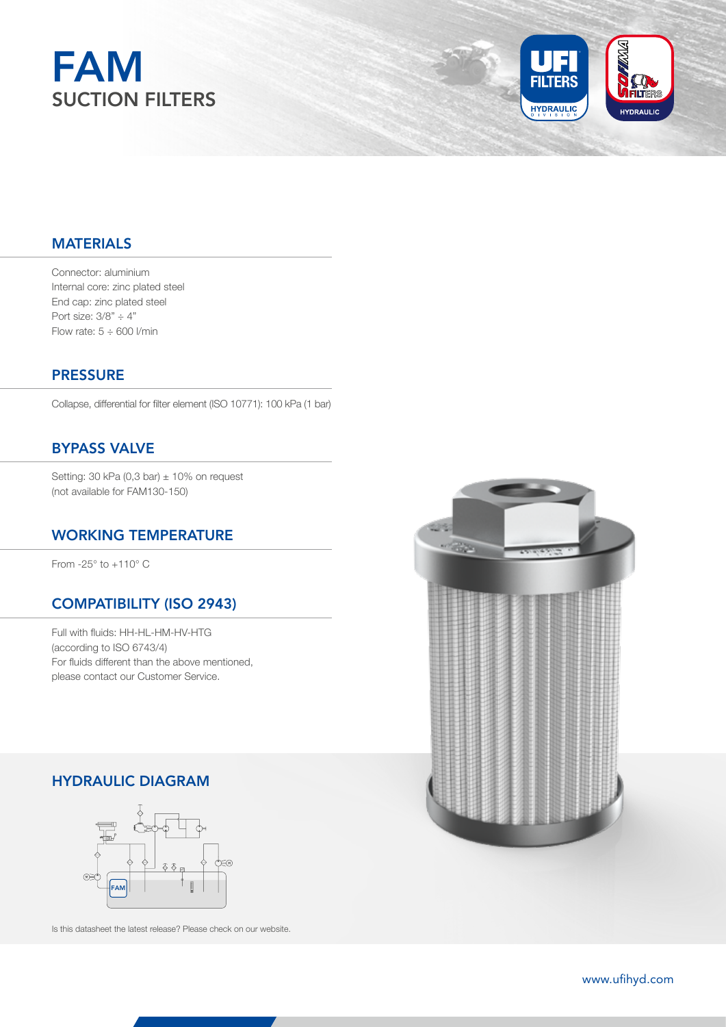



### MATERIALS

Connector: aluminium Internal core: zinc plated steel End cap: zinc plated steel Port size:  $3/8" \div 4"$ Flow rate:  $5 \div 600$  I/min

### **PRESSURE**

Collapse, differential for filter element (ISO 10771): 100 kPa (1 bar)

# BYPASS VALVE

Setting: 30 kPa (0,3 bar)  $\pm$  10% on request (not available for FAM130-150)

### WORKING TEMPERATURE

From -25° to +110° C

### COMPATIBILITY (ISO 2943)

Full with fluids: HH-HL-HM-HV-HTG (according to ISO 6743/4) For fluids different than the above mentioned, please contact our Customer Service.

## HYDRAULIC DIAGRAM



Is this datasheet the latest release? Please check on our website.

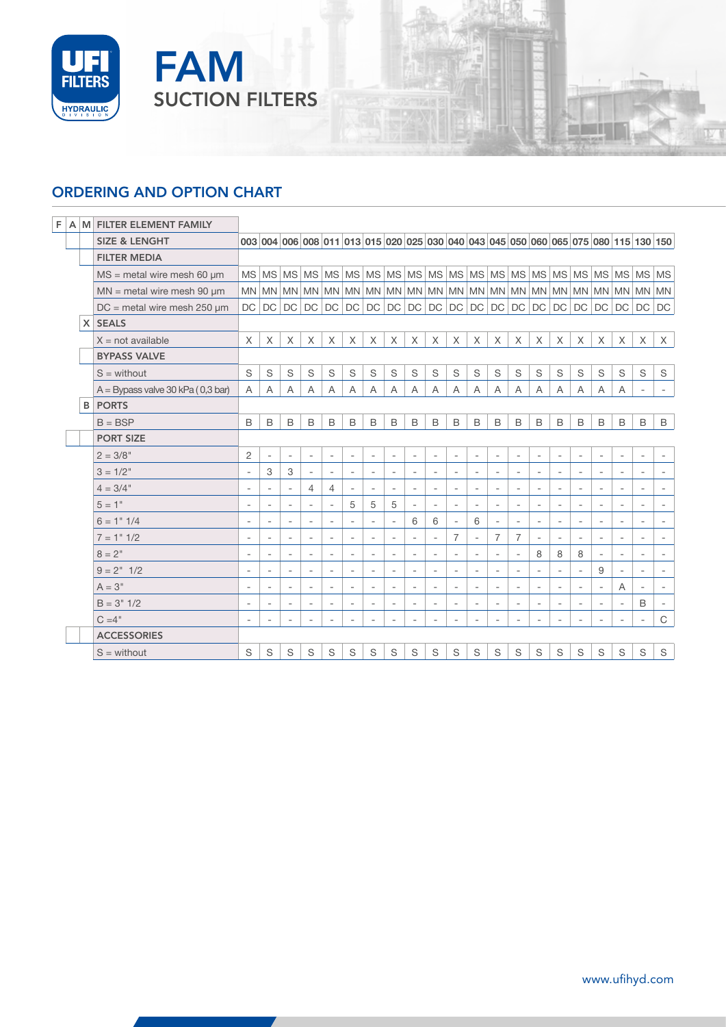

# ORDERING AND OPTION CHART

FAM

SUCTION FILTERS

|  |  | F A M FILTER ELEMENT FAMILY         |                          |                          |                          |                          |                          |                          |                          |                          |                          |                          |                          |                          |                          |                          |                          |                          |                          |                          |                          |                                                                                     |                          |
|--|--|-------------------------------------|--------------------------|--------------------------|--------------------------|--------------------------|--------------------------|--------------------------|--------------------------|--------------------------|--------------------------|--------------------------|--------------------------|--------------------------|--------------------------|--------------------------|--------------------------|--------------------------|--------------------------|--------------------------|--------------------------|-------------------------------------------------------------------------------------|--------------------------|
|  |  | <b>SIZE &amp; LENGHT</b>            |                          |                          |                          |                          |                          |                          |                          |                          |                          |                          |                          |                          |                          |                          |                          |                          |                          |                          |                          | 003 004 006 008 011 013 015 020 025 030 040 043 045 050 060 065 075 080 115 130 150 |                          |
|  |  | <b>FILTER MEDIA</b>                 |                          |                          |                          |                          |                          |                          |                          |                          |                          |                          |                          |                          |                          |                          |                          |                          |                          |                          |                          |                                                                                     |                          |
|  |  | $MS = metal$ wire mesh 60 $µm$      |                          |                          |                          |                          |                          |                          |                          |                          |                          |                          |                          |                          |                          |                          |                          |                          |                          |                          |                          |                                                                                     |                          |
|  |  | $MN$ = metal wire mesh 90 $\mu$ m   |                          |                          |                          |                          |                          |                          |                          |                          |                          |                          |                          |                          |                          |                          |                          |                          |                          |                          |                          |                                                                                     |                          |
|  |  | $DC$ = metal wire mesh 250 $\mu$ m  | <b>DC</b>                | DC                       | $DC$ $DC$                |                          | DC                       | $DC$ $DC$                |                          | DC                       |                          | $DC$ $DC$                | DC                       | DC                       |                          | $DC$ $DC$ $DC$           |                          | DC                       | DC                       | DC                       | DC                       | DC                                                                                  | DC                       |
|  |  | X SEALS                             |                          |                          |                          |                          |                          |                          |                          |                          |                          |                          |                          |                          |                          |                          |                          |                          |                          |                          |                          |                                                                                     |                          |
|  |  | $X = not available$                 | X                        | X                        | X                        | X                        | X                        | X                        | X                        | X                        | X                        | X                        | X                        | X                        | $\times$                 | X                        | $\times$                 | X                        | $\times$                 | X                        | X                        | X                                                                                   | $\times$                 |
|  |  | <b>BYPASS VALVE</b>                 |                          |                          |                          |                          |                          |                          |                          |                          |                          |                          |                          |                          |                          |                          |                          |                          |                          |                          |                          |                                                                                     |                          |
|  |  | $S =$ without                       | S                        | S                        | S                        | S                        | S                        | S                        | S                        | S                        | S                        | S                        | S                        | S                        | S                        | S                        | S                        | S                        | S                        | S                        | S                        | S                                                                                   | S                        |
|  |  | $A = Bypass value 30 kPa (0,3 bar)$ | A                        | A                        | A                        | A                        | Α                        | $\mathsf{A}$             | A                        | A                        | A                        | A                        | A                        | A                        | A                        | A                        | A                        | A                        | A                        | A                        | A                        | $\overline{\phantom{a}}$                                                            | $\sim$                   |
|  |  | <b>B</b> PORTS                      |                          |                          |                          |                          |                          |                          |                          |                          |                          |                          |                          |                          |                          |                          |                          |                          |                          |                          |                          |                                                                                     |                          |
|  |  | $B = BSP$                           | B                        | B                        | B                        | B                        | B                        | B                        | B                        | B                        | B                        | B                        | B                        | B                        | B                        | B                        | $\mathsf B$              | B                        | B                        | B                        | B                        | B                                                                                   | B                        |
|  |  | <b>PORT SIZE</b>                    |                          |                          |                          |                          |                          |                          |                          |                          |                          |                          |                          |                          |                          |                          |                          |                          |                          |                          |                          |                                                                                     |                          |
|  |  | $2 = 3/8"$                          | $\overline{c}$           | $\overline{\phantom{a}}$ | $\overline{\phantom{a}}$ | $\overline{\phantom{a}}$ | $\overline{\phantom{a}}$ | $\overline{\phantom{a}}$ | $\overline{\phantom{a}}$ | $\overline{\phantom{a}}$ | $\overline{\phantom{a}}$ | $\overline{\phantom{a}}$ | $\overline{\phantom{a}}$ | $\overline{\phantom{a}}$ | $\sim$                   | $\overline{\phantom{a}}$ | $\overline{\phantom{a}}$ | $\overline{\phantom{a}}$ | $\overline{\phantom{a}}$ | $\overline{\phantom{a}}$ | $\overline{\phantom{a}}$ | $\overline{\phantom{a}}$                                                            | $\overline{\phantom{a}}$ |
|  |  | $3 = 1/2"$                          | $\overline{\phantom{a}}$ | 3                        | 3                        |                          |                          |                          | $\overline{\phantom{a}}$ |                          | $\overline{\phantom{a}}$ |                          | $\overline{\phantom{a}}$ |                          | $\overline{\phantom{a}}$ |                          | $\overline{\phantom{a}}$ |                          | $\overline{\phantom{a}}$ |                          | $\overline{\phantom{a}}$ |                                                                                     |                          |
|  |  | $4 = 3/4"$                          | $\overline{\phantom{a}}$ | $\overline{\phantom{a}}$ | $\overline{\phantom{a}}$ | 4                        | $\overline{4}$           |                          | $\overline{\phantom{a}}$ | $\overline{\phantom{a}}$ | $\overline{\phantom{a}}$ | $\overline{\phantom{a}}$ | $\overline{\phantom{a}}$ | $\overline{\phantom{a}}$ | $\overline{\phantom{a}}$ | $\overline{a}$           | $\overline{\phantom{a}}$ | $\overline{\phantom{a}}$ | $\overline{\phantom{a}}$ |                          | $\overline{\phantom{a}}$ | $\overline{\phantom{a}}$                                                            | $\overline{\phantom{a}}$ |
|  |  | $5 = 1"$                            | ٠                        |                          |                          |                          |                          | 5                        | 5                        | 5                        | $\overline{\phantom{a}}$ | ٠                        | $\overline{\phantom{a}}$ |                          | $\overline{\phantom{m}}$ |                          |                          | ٠                        | $\overline{a}$           |                          |                          | $\overline{a}$                                                                      |                          |
|  |  | $6 = 1" 1/4$                        | $\overline{\phantom{a}}$ | $\overline{\phantom{a}}$ | $\overline{\phantom{a}}$ | $\overline{\phantom{a}}$ | $\overline{\phantom{a}}$ | $\overline{\phantom{a}}$ | $\overline{\phantom{a}}$ | $\overline{\phantom{a}}$ | 6                        | 6                        | $\overline{\phantom{a}}$ | 6                        | $\overline{\phantom{a}}$ | $\overline{\phantom{a}}$ | $\overline{\phantom{a}}$ | $\overline{\phantom{a}}$ | $\overline{\phantom{a}}$ | $\overline{\phantom{a}}$ | $\overline{\phantom{a}}$ | $\overline{\phantom{a}}$                                                            | $\overline{\phantom{a}}$ |
|  |  | $7 = 1" 1/2$                        | $\overline{\phantom{a}}$ |                          |                          |                          | $\overline{a}$           |                          |                          |                          | $\overline{\phantom{a}}$ | $\overline{a}$           | 7                        |                          | 7                        | 7                        | $\overline{\phantom{a}}$ | $\overline{a}$           | $\overline{\phantom{a}}$ |                          | $\overline{\phantom{a}}$ | $\overline{a}$                                                                      | $\overline{\phantom{a}}$ |
|  |  | $8 = 2^{\circ}$                     | $\overline{\phantom{a}}$ |                          | $\overline{\phantom{a}}$ |                          | $\overline{\phantom{a}}$ |                          | $\overline{\phantom{a}}$ |                          | $\overline{\phantom{a}}$ | $\overline{\phantom{a}}$ | $\overline{\phantom{a}}$ | $\overline{\phantom{a}}$ | $\overline{\phantom{a}}$ | $\overline{\phantom{a}}$ | 8                        | 8                        | 8                        | $\overline{\phantom{a}}$ | $\overline{\phantom{a}}$ | $\overline{\phantom{a}}$                                                            | $\overline{\phantom{a}}$ |
|  |  | $9 = 2" 1/2$                        | $\overline{\phantom{a}}$ | $\overline{a}$           | $\overline{\phantom{a}}$ | $\overline{\phantom{a}}$ | $\overline{\phantom{a}}$ | $\overline{\phantom{a}}$ | $\overline{\phantom{a}}$ | $\overline{a}$           | $\overline{\phantom{a}}$ | $\overline{a}$           | $\overline{\phantom{a}}$ | $\overline{a}$           | $\overline{\phantom{a}}$ | $\overline{a}$           | $\overline{\phantom{a}}$ | $\overline{a}$           | $\overline{\phantom{a}}$ | 9                        | $\overline{\phantom{a}}$ | $\overline{a}$                                                                      | $\overline{\phantom{a}}$ |
|  |  | $A = 3"$                            | $\overline{\phantom{a}}$ | $\overline{\phantom{a}}$ | $\overline{\phantom{a}}$ | $\overline{\phantom{a}}$ | $\overline{\phantom{a}}$ | $\overline{\phantom{a}}$ | $\overline{\phantom{a}}$ | $\overline{\phantom{a}}$ | $\overline{\phantom{a}}$ | $\overline{\phantom{a}}$ | $\overline{\phantom{a}}$ | $\overline{\phantom{a}}$ | $\overline{\phantom{a}}$ | $\overline{\phantom{a}}$ | $\overline{\phantom{a}}$ | $\overline{\phantom{a}}$ | $\overline{\phantom{a}}$ | $\overline{\phantom{a}}$ | A                        | $\overline{\phantom{a}}$                                                            | $\overline{\phantom{a}}$ |
|  |  | $B = 3" 1/2$                        |                          |                          |                          |                          | $\overline{a}$           |                          |                          |                          | $\overline{\phantom{a}}$ |                          | ٠                        |                          | $\overline{\phantom{a}}$ |                          |                          |                          | $\qquad \qquad -$        |                          |                          | B                                                                                   |                          |
|  |  | $C = 4"$                            | $\overline{\phantom{a}}$ | $\overline{\phantom{a}}$ | $\overline{\phantom{a}}$ | $\overline{\phantom{a}}$ | $\bar{ }$                | $\overline{\phantom{a}}$ | $\overline{\phantom{a}}$ |                          | $\overline{\phantom{a}}$ |                          | $\overline{\phantom{a}}$ |                          | $\overline{\phantom{a}}$ | $\overline{\phantom{a}}$ | $\overline{\phantom{a}}$ | ٠                        | $\overline{\phantom{a}}$ | $\overline{\phantom{a}}$ | $\overline{\phantom{a}}$ | $\overline{\phantom{a}}$                                                            | $\mathbf C$              |
|  |  | <b>ACCESSORIES</b>                  |                          |                          |                          |                          |                          |                          |                          |                          |                          |                          |                          |                          |                          |                          |                          |                          |                          |                          |                          |                                                                                     |                          |
|  |  | $S =$ without                       | S                        | S                        | S                        | S                        | S                        | S                        | S                        | S                        | S                        | S                        | S                        | S                        | S                        | S                        | S                        | S                        | S                        | S                        | S                        | S                                                                                   | S                        |

**IV**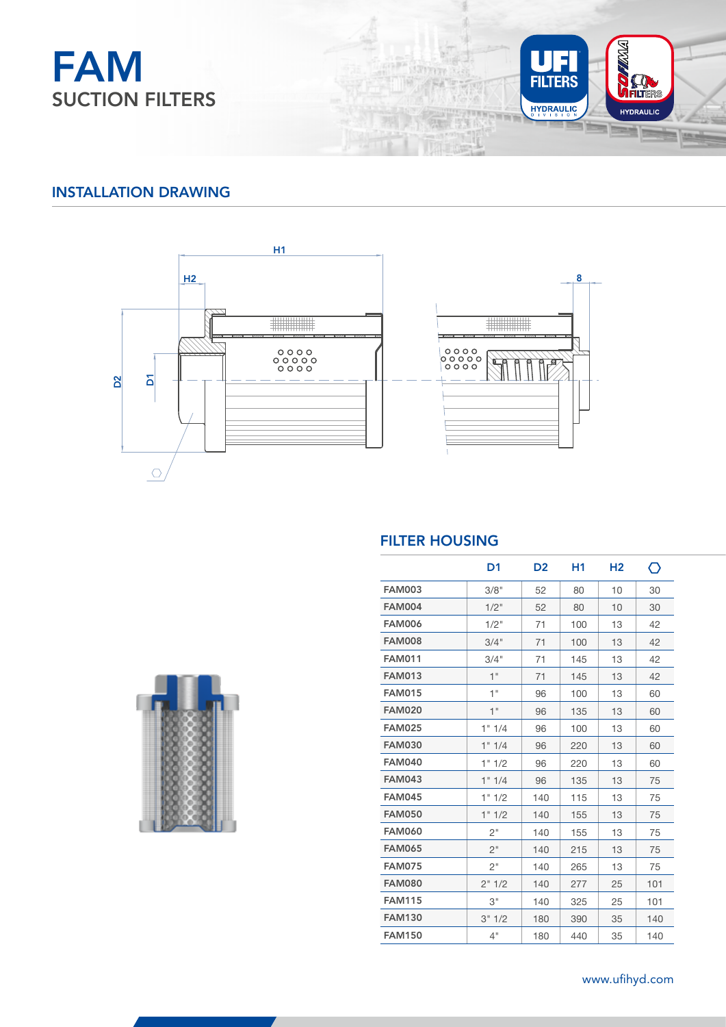



## INSTALLATION DRAWING



### FILTER HOUSING

an er

TH **MAR** 

|               | D <sub>1</sub> | D <sub>2</sub> | Η1  | H <sub>2</sub> | ⌒   |
|---------------|----------------|----------------|-----|----------------|-----|
| <b>FAM003</b> | 3/8"           | 52             | 80  | 10             | 30  |
| <b>FAM004</b> | $1/2$ "        | 52             | 80  | 10             | 30  |
| <b>FAM006</b> | 1/2"           | 71             | 100 | 13             | 42  |
| <b>FAM008</b> | 3/4"           | 71             | 100 | 13             | 42  |
| <b>FAM011</b> | 3/4"           | 71             | 145 | 13             | 42  |
| <b>FAM013</b> | 1"             | 71             | 145 | 13             | 42  |
| <b>FAM015</b> | 1"             | 96             | 100 | 13             | 60  |
| <b>FAM020</b> | 1"             | 96             | 135 | 13             | 60  |
| <b>FAM025</b> | 1" 1/4         | 96             | 100 | 13             | 60  |
| <b>FAM030</b> | 1" 1/4         | 96             | 220 | 13             | 60  |
| <b>FAM040</b> | 1" 1/2         | 96             | 220 | 13             | 60  |
| <b>FAM043</b> | 1" 1/4         | 96             | 135 | 13             | 75  |
| <b>FAM045</b> | 1" 1/2         | 140            | 115 | 13             | 75  |
| <b>FAM050</b> | 1" 1/2         | 140            | 155 | 13             | 75  |
| <b>FAM060</b> | 2"             | 140            | 155 | 13             | 75  |
| <b>FAM065</b> | 2"             | 140            | 215 | 13             | 75  |
| <b>FAM075</b> | 2"             | 140            | 265 | 13             | 75  |
| <b>FAM080</b> | 2"1/2          | 140            | 277 | 25             | 101 |
| <b>FAM115</b> | З"             | 140            | 325 | 25             | 101 |
| <b>FAM130</b> | 3" 1/2         | 180            | 390 | 35             | 140 |
| <b>FAM150</b> | 4"             | 180            | 440 | 35             | 140 |



59 www.ufihyd.com